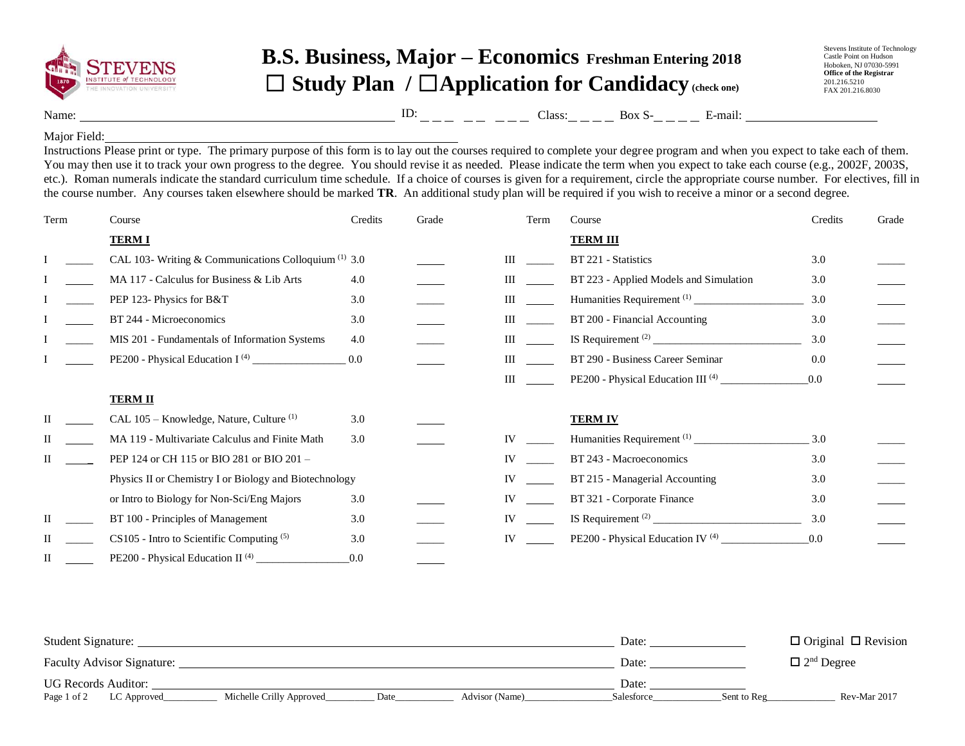

## **B.S. Business, Major – Economics Freshman Entering 2018** ☐ **Study Plan /** ☐**Application for Candidacy (check one)**

Stevens Institute of Technology Castle Point on Hudson Hoboken, NJ 07030-5991 **Office of the Registrar** 201.216.5210 FAX 201.216.8030

Name: Class: Box S- E-mail: ID:

## Major Field:

Instructions Please print or type. The primary purpose of this form is to lay out the courses required to complete your degree program and when you expect to take each of them. You may then use it to track your own progress to the degree. You should revise it as needed. Please indicate the term when you expect to take each course (e.g., 2002F, 2003S, etc.). Roman numerals indicate the standard curriculum time schedule. If a choice of courses is given for a requirement, circle the appropriate course number. For electives, fill in the course number. Any courses taken elsewhere should be marked **TR**. An additional study plan will be required if you wish to receive a minor or a second degree.

| Term | Course                                                 | Credits | Grade | Term               | Course                                       | Credits | Grade |
|------|--------------------------------------------------------|---------|-------|--------------------|----------------------------------------------|---------|-------|
|      | <b>TERM I</b>                                          |         |       |                    | <b>TERM III</b>                              |         |       |
|      | CAL 103- Writing & Communications Colloquium $(1)$ 3.0 |         |       | $\mathop{\rm III}$ | BT 221 - Statistics                          | 3.0     |       |
|      | MA 117 - Calculus for Business & Lib Arts              | 4.0     |       | Ш                  | BT 223 - Applied Models and Simulation       | 3.0     |       |
|      | PEP 123- Physics for B&T                               | 3.0     |       | Ш                  |                                              | 3.0     |       |
|      | BT 244 - Microeconomics                                | 3.0     |       | Ш                  | BT 200 - Financial Accounting                | 3.0     |       |
|      | MIS 201 - Fundamentals of Information Systems          | 4.0     |       | Ш                  |                                              | 3.0     |       |
|      |                                                        | 0.0     |       | Ш                  | BT 290 - Business Career Seminar             | 0.0     |       |
|      |                                                        |         |       | Ш                  |                                              | 0.0     |       |
|      | <b>TERM II</b>                                         |         |       |                    |                                              |         |       |
|      | CAL 105 – Knowledge, Nature, Culture <sup>(1)</sup>    | 3.0     |       |                    | <b>TERM IV</b>                               |         |       |
|      | MA 119 - Multivariate Calculus and Finite Math         | 3.0     |       | IV                 |                                              | 3.0     |       |
|      | PEP 124 or CH 115 or BIO 281 or BIO 201 -              |         |       | <b>IV</b>          | BT 243 - Macroeconomics                      | 3.0     |       |
|      | Physics II or Chemistry I or Biology and Biotechnology |         |       | IV                 | BT 215 - Managerial Accounting               | 3.0     |       |
|      | or Intro to Biology for Non-Sci/Eng Majors             | 3.0     |       | <b>IV</b>          | BT 321 - Corporate Finance                   | 3.0     |       |
|      | BT 100 - Principles of Management                      | 3.0     |       | IV                 |                                              | 3.0     |       |
|      | $CS105$ - Intro to Scientific Computing $(5)$          | 3.0     |       | IV                 | PE200 - Physical Education IV <sup>(4)</sup> | 0.0     |       |
| П    | PE200 - Physical Education II <sup>(4)</sup>           | 0.0     |       |                    |                                              |         |       |

| Student Signature:                                     |       |                               | Date:      |             | $\Box$ Original $\Box$ Revision |
|--------------------------------------------------------|-------|-------------------------------|------------|-------------|---------------------------------|
| <b>Faculty Advisor Signature:</b>                      | Date: | $\Box$ 2 <sup>nd</sup> Degree |            |             |                                 |
| <b>UG Records Auditor:</b>                             |       |                               | Date:      |             |                                 |
| Michelle Crilly Approved<br>Page 1 of 2<br>LC Approved | Date  | Advisor (Name)                | Salesforce | Sent to Reg | Rev-Mar 2017                    |